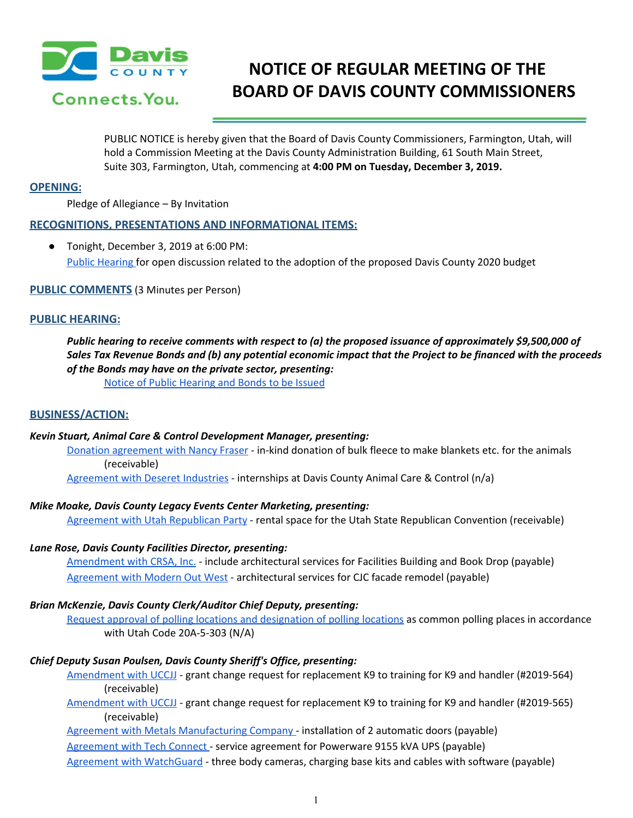

# **NOTICE OF REGULAR MEETING OF THE BOARD OF DAVIS COUNTY COMMISSIONERS**

PUBLIC NOTICE is hereby given that the Board of Davis County Commissioners, Farmington, Utah, will hold a Commission Meeting at the Davis County Administration Building, 61 South Main Street, Suite 303, Farmington, Utah, commencing at **4:00 PM on Tuesday, December 3, 2019.**

# **OPENING:**

Pledge of Allegiance – By Invitation

# **RECOGNITIONS, PRESENTATIONS AND INFORMATIONAL ITEMS:**

● Tonight, December 3, 2019 at 6:00 PM: Public [Hearing](https://drive.google.com/a/co.davis.ut.us/file/d/1f0eALMNe8FFdWXZr4QhdX6WmFlx5h74P/view?usp=drivesdk) for open discussion related to the adoption of the proposed Davis County 2020 budget

## **PUBLIC COMMENTS** (3 Minutes per Person)

## **PUBLIC HEARING:**

*Public hearing to receive comments with respect to (a) the proposed issuance of approximately \$9,500,000 of* Sales Tax Revenue Bonds and (b) any potential economic impact that the Project to be financed with the proceeds *of the Bonds may have on the private sector, presenting:*

Notice of Public [Hearing](https://drive.google.com/a/co.davis.ut.us/file/d/1he3Z7fM2kBz8NA2xhgItGLL0cvTy7uqx/view?usp=drivesdk) and Bonds to be Issued

## **BUSINESS/ACTION:**

#### *Kevin Stuart, Animal Care & Control Development Manager, presenting:*

Donation [agreement](https://drive.google.com/a/co.davis.ut.us/file/d/1gSJkjUeAYHU7Y5i7mxVGdjoYVRI2Wog4/view?usp=drivesdk) with Nancy Fraser - in-kind donation of bulk fleece to make blankets etc. for the animals (receivable)

[Agreement](https://drive.google.com/a/co.davis.ut.us/file/d/1JST6_083HwB027oOMdt25iO1Qhzy-0RW/view?usp=drivesdk) with Deseret Industries - internships at Davis County Animal Care & Control (n/a)

## *Mike Moake, Davis County Legacy Events Center Marketing, presenting:*

[Agreement](https://drive.google.com/a/co.davis.ut.us/file/d/1TdoJPE9uLIuIlzdI83Oq1pAG8bDCBMPs/view?usp=drivesdk) with Utah Republican Party - rental space for the Utah State Republican Convention (receivable)

## *Lane Rose, Davis County Facilities Director, presenting:*

[Amendment](https://drive.google.com/a/co.davis.ut.us/file/d/154Ek6KtK_SkdV4xuwIydmsC9EeoDsQJx/view?usp=drivesdk) with CRSA, Inc. - include architectural services for Facilities Building and Book Drop (payable) [Agreement](https://drive.google.com/a/co.davis.ut.us/file/d/1aaxIvLFepuxer4CO9882jN-PrkFCMxCV/view?usp=drivesdk) with Modern Out West - architectural services for CJC facade remodel (payable)

## *Brian McKenzie, Davis County Clerk/Auditor Chief Deputy, presenting:*

Request approval of polling locations and [designation](https://drive.google.com/a/co.davis.ut.us/file/d/1Hv2sifpMFBoDx5XW7vhguplsFfrlsAEu/view?usp=drivesdk) of polling locations as common polling places in accordance with Utah Code 20A-5-303 (N/A)

## *Chief Deputy Susan Poulsen, Davis County Sheriff's Office, presenting:*

[Amendment](https://drive.google.com/a/co.davis.ut.us/file/d/1WUcj5_wVySgcN7y1m9FRWgLWFS_RuXd4/view?usp=drivesdk) with UCCJJ - grant change request for replacement K9 to training for K9 and handler (#2019-564) (receivable)

[Amendment](https://drive.google.com/a/co.davis.ut.us/file/d/1-BLgELqAlqjb8XK1-syzIjm0vdovBzaf/view?usp=drivesdk) with UCCJJ - grant change request for replacement K9 to training for K9 and handler (#2019-565) (receivable)

Agreement with Metals [Manufacturing](https://drive.google.com/a/co.davis.ut.us/file/d/1dXY47VPZtiD1On3UEXJjEi9ZQKEw5uvs/view?usp=drivesdk) Company - installation of 2 automatic doors (payable)

[Agreement](https://drive.google.com/a/co.davis.ut.us/file/d/1R26x1EGO2ScWWHIVIi1Ily6X_0BJCfYD/view?usp=drivesdk) with Tech Connect - service agreement for Powerware 9155 kVA UPS (payable)

Agreement with [WatchGuard](https://drive.google.com/a/co.davis.ut.us/file/d/1p8wpEv9ITPMjx-0Z44p6DG6OG5R3VTDZ/view?usp=drivesdk) - three body cameras, charging base kits and cables with software (payable)